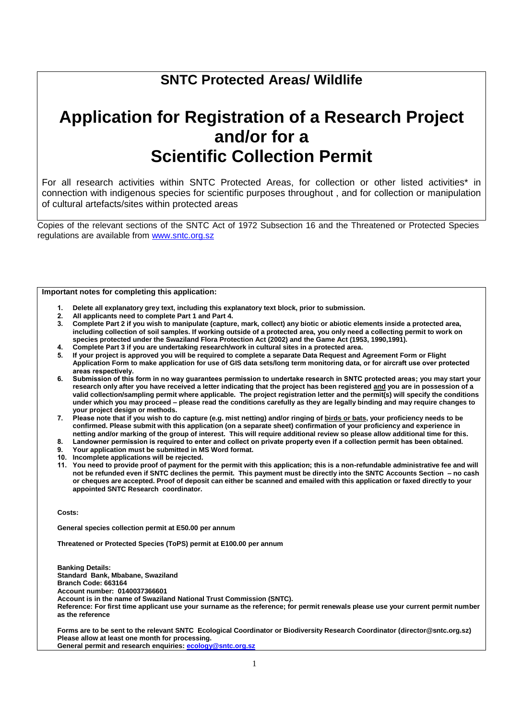# **SNTC Protected Areas/ Wildlife**

# **Application for Registration of a Research Project and/or for a Scientific Collection Permit**

For all research activities within SNTC Protected Areas, for collection or other listed activities\* in connection with indigenous species for scientific purposes throughout , and for collection or manipulation of cultural artefacts/sites within protected areas

Copies of the relevant sections of the SNTC Act of 1972 Subsection 16 and the Threatened or Protected Species regulations are available from [www.sntc.org.sz](http://www.sntc.org.sz/)

#### **Important notes for completing this application:**

- **1. Delete all explanatory grey text, including this explanatory text block, prior to submission.**
- **2. All applicants need to complete Part 1 and Part 4.**
- **3. Complete Part 2 if you wish to manipulate (capture, mark, collect) any biotic or abiotic elements inside a protected area, including collection of soil samples. If working outside of a protected area, you only need a collecting permit to work on species protected under the Swaziland Flora Protection Act (2002) and the Game Act (1953, 1990,1991).**
- **4. Complete Part 3 if you are undertaking research/work in cultural sites in a protected area.**
- **5. If your project is approved you will be required to complete a separate Data Request and Agreement Form or Flight Application Form to make application for use of GIS data sets/long term monitoring data, or for aircraft use over protected areas respectively.**
- **6. Submission of this form in no way guarantees permission to undertake research in SNTC protected areas; you may start your research only after you have received a letter indicating that the project has been registered and you are in possession of a valid collection/sampling permit where applicable. The project registration letter and the permit(s) will specify the conditions under which you may proceed – please read the conditions carefully as they are legally binding and may require changes to your project design or methods.**
- **7. Please note that if you wish to do capture (e.g. mist netting) and/or ringing of birds or bats, your proficiency needs to be confirmed. Please submit with this application (on a separate sheet) confirmation of your proficiency and experience in netting and/or marking of the group of interest. This will require additional review so please allow additional time for this.**
- **8. Landowner permission is required to enter and collect on private property even if a collection permit has been obtained.**
- **9. Your application must be submitted in MS Word format.**
- **10. Incomplete applications will be rejected.**
- **11. You need to provide proof of payment for the permit with this application; this is a non-refundable administrative fee and will not be refunded even if SNTC declines the permit. This payment must be directly into the SNTC Accounts Section – no cash or cheques are accepted. Proof of deposit can either be scanned and emailed with this application or faxed directly to your appointed SNTC Research coordinator.**

**Costs:** 

**General species collection permit at E50.00 per annum**

**Threatened or Protected Species (ToPS) permit at E100.00 per annum**

**Banking Details: Standard Bank, Mbabane, Swaziland Branch Code: 663164 Account number: 0140037366601 Account is in the name of Swaziland National Trust Commission (SNTC). Reference: For first time applicant use your surname as the reference; for permit renewals please use your current permit number as the reference**

**Forms are to be sent to the relevant SNTC Ecological Coordinator or Biodiversity Research Coordinator (director@sntc.org.sz) Please allow at least one month for processing. General permit and research enquiries: [ecology@sntc.org.sz](mailto:ecology@sntc.org.sz)**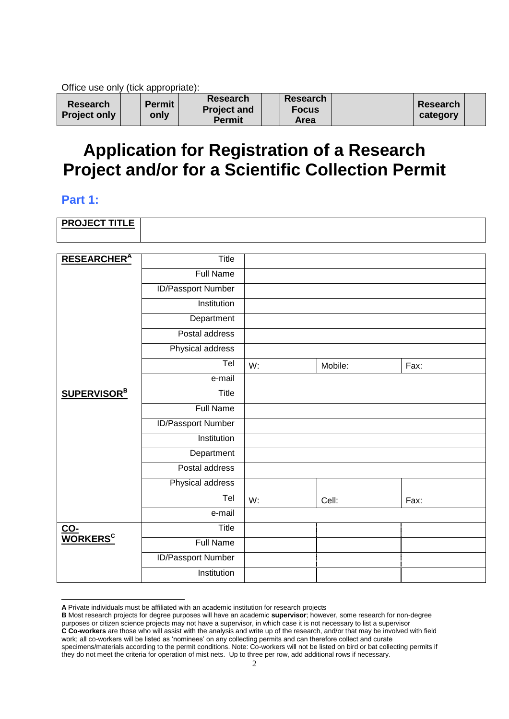Office use only (tick appropriate):

| <b>Research</b><br><b>Project only</b> |  | <b>Permit</b><br>only |  | <b>Research</b><br><b>Project and</b><br>Permit |  | <b>Research</b><br><b>Focus</b><br>Area |  | <b>Research</b><br>category |  |
|----------------------------------------|--|-----------------------|--|-------------------------------------------------|--|-----------------------------------------|--|-----------------------------|--|
|----------------------------------------|--|-----------------------|--|-------------------------------------------------|--|-----------------------------------------|--|-----------------------------|--|

# **Application for Registration of a Research Project and/or for a Scientific Collection Permit**

## **Part 1:**

| <b>PROJECT TITLE</b> |  |
|----------------------|--|
|                      |  |

| <b>RESEARCHER</b> <sup>A</sup> | Title                     |    |         |      |
|--------------------------------|---------------------------|----|---------|------|
|                                | <b>Full Name</b>          |    |         |      |
|                                | <b>ID/Passport Number</b> |    |         |      |
|                                | Institution               |    |         |      |
|                                | Department                |    |         |      |
|                                | Postal address            |    |         |      |
|                                | Physical address          |    |         |      |
|                                | Tel                       | W: | Mobile: | Fax: |
|                                | e-mail                    |    |         |      |
| <b>SUPERVISOR</b> <sup>B</sup> | Title                     |    |         |      |
|                                | <b>Full Name</b>          |    |         |      |
|                                | <b>ID/Passport Number</b> |    |         |      |
|                                | Institution               |    |         |      |
|                                | Department                |    |         |      |
|                                | Postal address            |    |         |      |
|                                | Physical address          |    |         |      |
|                                | Tel                       | W: | Cell:   | Fax: |
|                                | e-mail                    |    |         |      |
| CO-<br>WORKERS <sup>C</sup>    | Title                     |    |         |      |
|                                | <b>Full Name</b>          |    |         |      |
|                                | <b>ID/Passport Number</b> |    |         |      |
|                                | Institution               |    |         |      |

<sup>-</sup>**A** Private individuals must be affiliated with an academic institution for research projects

work; all co-workers will be listed as 'nominees' on any collecting permits and can therefore collect and curate specimens/materials according to the permit conditions. Note: Co-workers will not be listed on bird or bat collecting permits if they do not meet the criteria for operation of mist nets. Up to three per row, add additional rows if necessary.

**B** Most research projects for degree purposes will have an academic **supervisor**; however, some research for non-degree purposes or citizen science projects may not have a supervisor, in which case it is not necessary to list a supervisor **C Co-workers** are those who will assist with the analysis and write up of the research, and/or that may be involved with field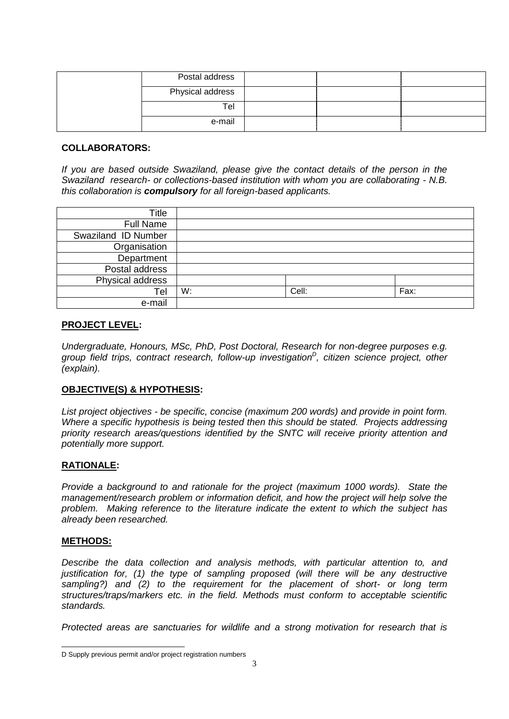| Postal address   |  |  |
|------------------|--|--|
| Physical address |  |  |
| Tel              |  |  |
| e-mail           |  |  |

#### **COLLABORATORS:**

*If you are based outside Swaziland, please give the contact details of the person in the Swaziland research- or collections-based institution with whom you are collaborating - N.B. this collaboration is compulsory for all foreign-based applicants.*

| Title               |    |       |      |
|---------------------|----|-------|------|
| <b>Full Name</b>    |    |       |      |
| Swaziland ID Number |    |       |      |
| Organisation        |    |       |      |
| Department          |    |       |      |
| Postal address      |    |       |      |
| Physical address    |    |       |      |
| Tel                 | W: | Cell: | Fax: |
| e-mail              |    |       |      |

## **PROJECT LEVEL:**

*Undergraduate, Honours, MSc, PhD, Post Doctoral, Research for non-degree purposes e.g. group field trips, contract research, follow-up investigation<sup>D</sup> , citizen science project, other (explain).*

## **OBJECTIVE(S) & HYPOTHESIS:**

*List project objectives - be specific, concise (maximum 200 words) and provide in point form. Where a specific hypothesis is being tested then this should be stated. Projects addressing priority research areas/questions identified by the SNTC will receive priority attention and potentially more support.*

#### **RATIONALE:**

*Provide a background to and rationale for the project (maximum 1000 words). State the management/research problem or information deficit, and how the project will help solve the problem. Making reference to the literature indicate the extent to which the subject has already been researched.*

#### **METHODS:**

*Describe the data collection and analysis methods, with particular attention to, and*  justification for, (1) the type of sampling proposed (will there will be any destructive *sampling?) and (2) to the requirement for the placement of short- or long term structures/traps/markers etc. in the field. Methods must conform to acceptable scientific standards.*

*Protected areas are sanctuaries for wildlife and a strong motivation for research that is* 

<sup>1</sup> D Supply previous permit and/or project registration numbers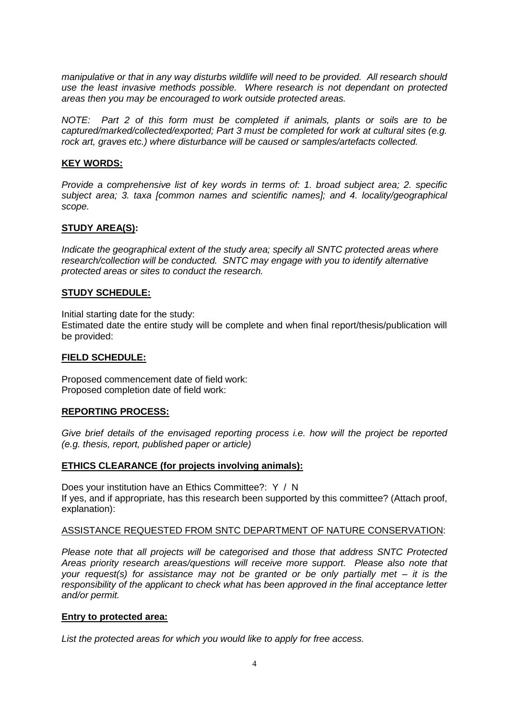*manipulative or that in any way disturbs wildlife will need to be provided. All research should use the least invasive methods possible. Where research is not dependant on protected areas then you may be encouraged to work outside protected areas.*

*NOTE: Part 2 of this form must be completed if animals, plants or soils are to be captured/marked/collected/exported; Part 3 must be completed for work at cultural sites (e.g. rock art, graves etc.) where disturbance will be caused or samples/artefacts collected.*

## **KEY WORDS:**

*Provide a comprehensive list of key words in terms of: 1. broad subject area; 2. specific subject area; 3. taxa [common names and scientific names]; and 4. locality/geographical scope.*

## **STUDY AREA(S):**

*Indicate the geographical extent of the study area; specify all SNTC protected areas where research/collection will be conducted. SNTC may engage with you to identify alternative protected areas or sites to conduct the research.*

## **STUDY SCHEDULE:**

Initial starting date for the study:

Estimated date the entire study will be complete and when final report/thesis/publication will be provided:

#### **FIELD SCHEDULE:**

Proposed commencement date of field work: Proposed completion date of field work:

## **REPORTING PROCESS:**

*Give brief details of the envisaged reporting process i.e. how will the project be reported (e.g. thesis, report, published paper or article)*

## **ETHICS CLEARANCE (for projects involving animals):**

Does your institution have an Ethics Committee?: Y / N If yes, and if appropriate, has this research been supported by this committee? (Attach proof, explanation):

#### ASSISTANCE REQUESTED FROM SNTC DEPARTMENT OF NATURE CONSERVATION:

*Please note that all projects will be categorised and those that address SNTC Protected Areas priority research areas/questions will receive more support. Please also note that your request(s) for assistance may not be granted or be only partially met – it is the responsibility of the applicant to check what has been approved in the final acceptance letter and/or permit.*

## **Entry to protected area:**

*List the protected areas for which you would like to apply for free access.*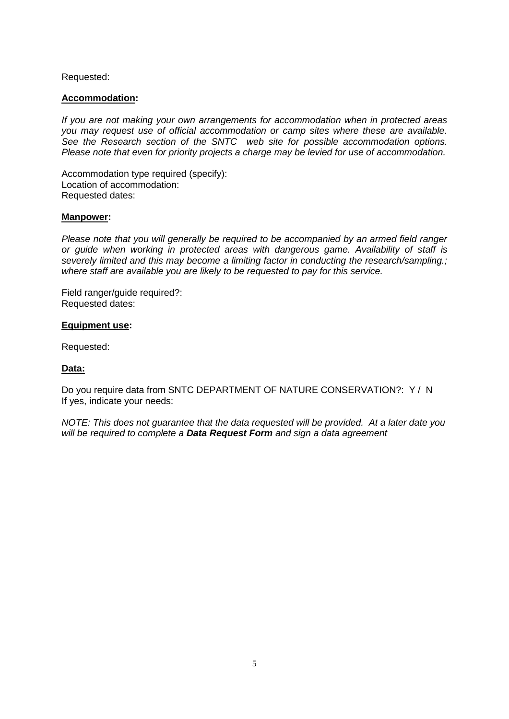## Requested:

#### **Accommodation:**

*If you are not making your own arrangements for accommodation when in protected areas you may request use of official accommodation or camp sites where these are available. See the Research section of the SNTC web site for possible accommodation options. Please note that even for priority projects a charge may be levied for use of accommodation.*

Accommodation type required (specify): Location of accommodation: Requested dates:

#### **Manpower:**

*Please note that you will generally be required to be accompanied by an armed field ranger or guide when working in protected areas with dangerous game. Availability of staff is severely limited and this may become a limiting factor in conducting the research/sampling.; where staff are available you are likely to be requested to pay for this service.*

Field ranger/guide required?: Requested dates:

#### **Equipment use:**

Requested:

## **Data:**

Do you require data from SNTC DEPARTMENT OF NATURE CONSERVATION?: Y / N If yes, indicate your needs:

*NOTE: This does not guarantee that the data requested will be provided. At a later date you will be required to complete a Data Request Form and sign a data agreement*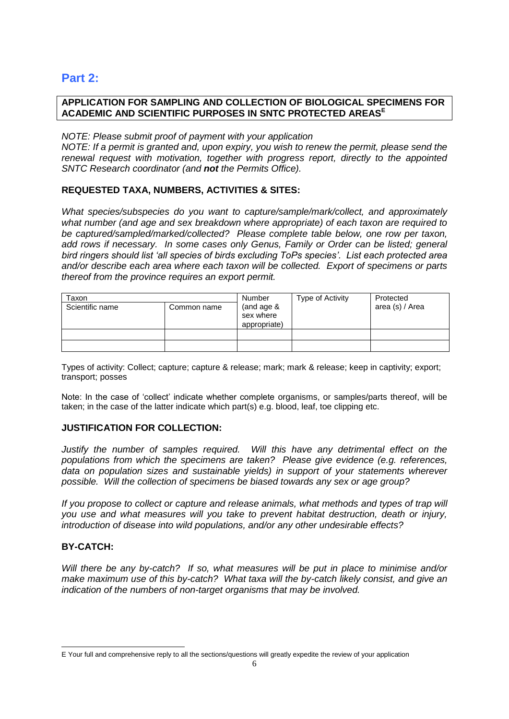## **Part 2:**

## **APPLICATION FOR SAMPLING AND COLLECTION OF BIOLOGICAL SPECIMENS FOR ACADEMIC AND SCIENTIFIC PURPOSES IN SNTC PROTECTED AREAS<sup>E</sup>**

## *NOTE: Please submit proof of payment with your application*

*NOTE: If a permit is granted and, upon expiry, you wish to renew the permit, please send the renewal request with motivation, together with progress report, directly to the appointed SNTC Research coordinator (and not the Permits Office).*

## **REQUESTED TAXA, NUMBERS, ACTIVITIES & SITES:**

*What species/subspecies do you want to capture/sample/mark/collect, and approximately what number (and age and sex breakdown where appropriate) of each taxon are required to be captured/sampled/marked/collected? Please complete table below, one row per taxon, add rows if necessary. In some cases only Genus, Family or Order can be listed; general bird ringers should list 'all species of birds excluding ToPs species'. List each protected area and/or describe each area where each taxon will be collected. Export of specimens or parts thereof from the province requires an export permit.*

| Taxon<br>Scientific name<br>Common name |  | Number<br>(and age $&$<br>sex where | Type of Activity | Protected<br>area (s) / Area |
|-----------------------------------------|--|-------------------------------------|------------------|------------------------------|
|                                         |  | appropriate)                        |                  |                              |
|                                         |  |                                     |                  |                              |
|                                         |  |                                     |                  |                              |

Types of activity: Collect; capture; capture & release; mark; mark & release; keep in captivity; export; transport; posses

Note: In the case of 'collect' indicate whether complete organisms, or samples/parts thereof, will be taken; in the case of the latter indicate which part(s) e.g. blood, leaf, toe clipping etc.

## **JUSTIFICATION FOR COLLECTION:**

*Justify the number of samples required. Will this have any detrimental effect on the populations from which the specimens are taken? Please give evidence (e.g. references, data on population sizes and sustainable yields) in support of your statements wherever possible. Will the collection of specimens be biased towards any sex or age group?*

*If you propose to collect or capture and release animals, what methods and types of trap will you use and what measures will you take to prevent habitat destruction, death or injury, introduction of disease into wild populations, and/or any other undesirable effects?*

## **BY-CATCH:**

1

*Will there be any by-catch? If so, what measures will be put in place to minimise and/or make maximum use of this by-catch? What taxa will the by-catch likely consist, and give an indication of the numbers of non-target organisms that may be involved.*

E Your full and comprehensive reply to all the sections/questions will greatly expedite the review of your application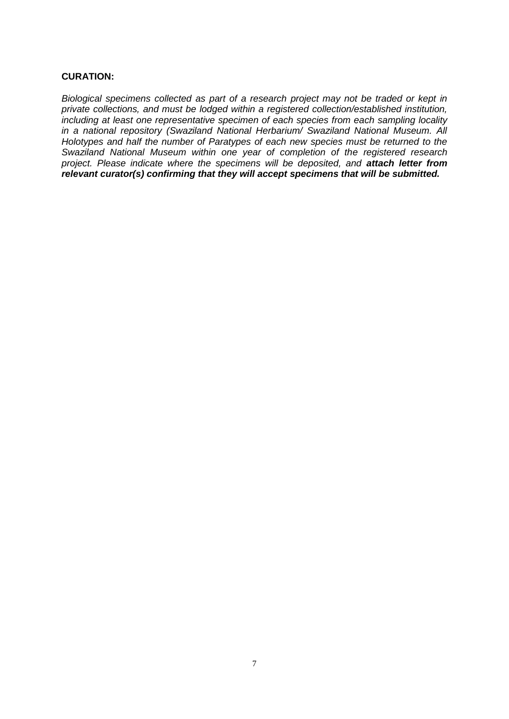## **CURATION:**

*Biological specimens collected as part of a research project may not be traded or kept in private collections, and must be lodged within a registered collection/established institution, including at least one representative specimen of each species from each sampling locality in a national repository (Swaziland National Herbarium/ Swaziland National Museum. All Holotypes and half the number of Paratypes of each new species must be returned to the Swaziland National Museum within one year of completion of the registered research project. Please indicate where the specimens will be deposited, and attach letter from relevant curator(s) confirming that they will accept specimens that will be submitted.*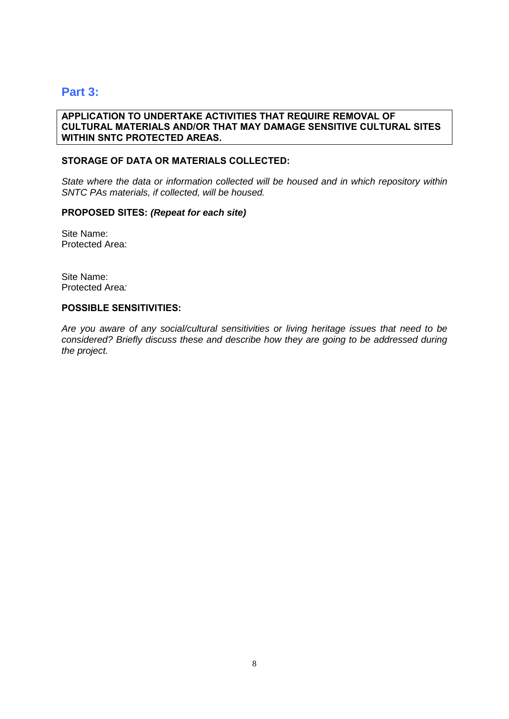## **Part 3:**

#### **APPLICATION TO UNDERTAKE ACTIVITIES THAT REQUIRE REMOVAL OF CULTURAL MATERIALS AND/OR THAT MAY DAMAGE SENSITIVE CULTURAL SITES WITHIN SNTC PROTECTED AREAS.**

#### **STORAGE OF DATA OR MATERIALS COLLECTED:**

*State where the data or information collected will be housed and in which repository within SNTC PAs materials, if collected, will be housed.*

#### **PROPOSED SITES:** *(Repeat for each site)*

Site Name: Protected Area:

Site Name: Protected Area*:*

#### **POSSIBLE SENSITIVITIES:**

*Are you aware of any social/cultural sensitivities or living heritage issues that need to be considered? Briefly discuss these and describe how they are going to be addressed during the project.*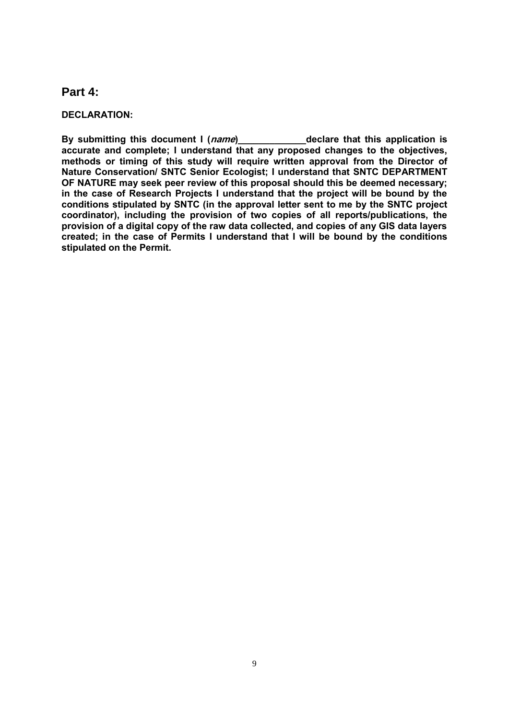## **Part 4:**

#### **DECLARATION:**

**By submitting this document I (name)\_\_\_\_\_\_\_\_\_\_\_\_\_declare that this application is accurate and complete; I understand that any proposed changes to the objectives, methods or timing of this study will require written approval from the Director of Nature Conservation/ SNTC Senior Ecologist; I understand that SNTC DEPARTMENT OF NATURE may seek peer review of this proposal should this be deemed necessary; in the case of Research Projects I understand that the project will be bound by the conditions stipulated by SNTC (in the approval letter sent to me by the SNTC project coordinator), including the provision of two copies of all reports/publications, the provision of a digital copy of the raw data collected, and copies of any GIS data layers created; in the case of Permits I understand that I will be bound by the conditions stipulated on the Permit.**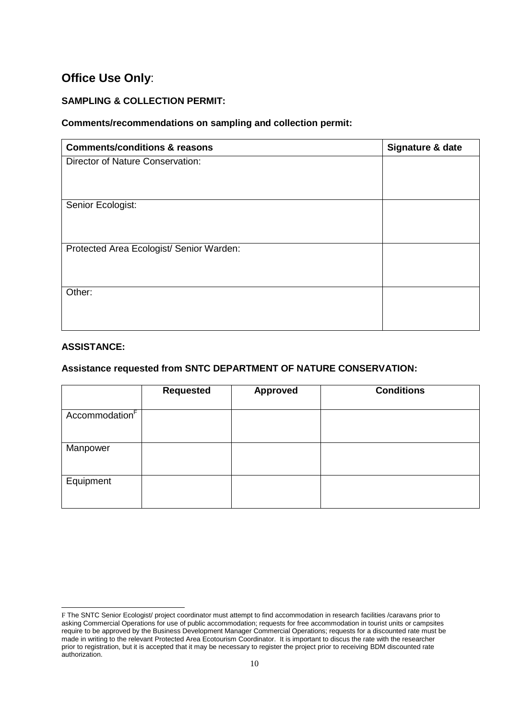# **Office Use Only**:

## **SAMPLING & COLLECTION PERMIT:**

## **Comments/recommendations on sampling and collection permit:**

| <b>Comments/conditions &amp; reasons</b> | Signature & date |
|------------------------------------------|------------------|
| Director of Nature Conservation:         |                  |
|                                          |                  |
|                                          |                  |
| Senior Ecologist:                        |                  |
|                                          |                  |
|                                          |                  |
| Protected Area Ecologist/ Senior Warden: |                  |
|                                          |                  |
|                                          |                  |
| Other:                                   |                  |
|                                          |                  |
|                                          |                  |

#### **ASSISTANCE:**

-

## **Assistance requested from SNTC DEPARTMENT OF NATURE CONSERVATION:**

|                            | <b>Requested</b> | <b>Approved</b> | <b>Conditions</b> |
|----------------------------|------------------|-----------------|-------------------|
| Accommodation <sup>F</sup> |                  |                 |                   |
| Manpower                   |                  |                 |                   |
| Equipment                  |                  |                 |                   |

F The SNTC Senior Ecologist/ project coordinator must attempt to find accommodation in research facilities /caravans prior to asking Commercial Operations for use of public accommodation; requests for free accommodation in tourist units or campsites require to be approved by the Business Development Manager Commercial Operations; requests for a discounted rate must be made in writing to the relevant Protected Area Ecotourism Coordinator. It is important to discus the rate with the researcher prior to registration, but it is accepted that it may be necessary to register the project prior to receiving BDM discounted rate authorization.